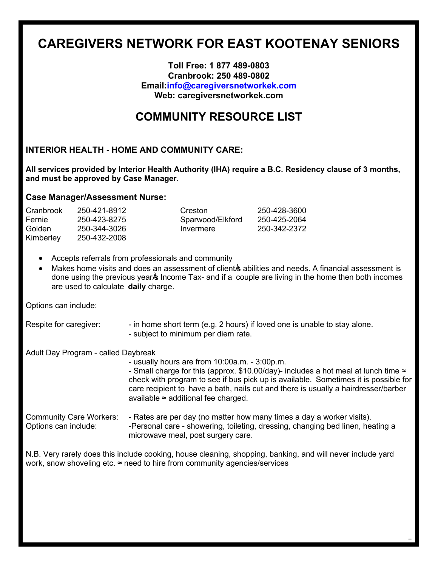# **CAREGIVERS NETWORK FOR EAST KOOTENAY SENIORS**

#### **Toll Free: 1 877 489-0803 Cranbrook: 250 489-0802 Email:info@caregiversnetworkek.com Web: caregiversnetworkek.com**

## **COMMUNITY RESOURCE LIST**

#### **INTERIOR HEALTH - HOME AND COMMUNITY CARE:**

**All services provided by Interior Health Authority (IHA) require a B.C. Residency clause of 3 months, and must be approved by Case Manager**.

#### **Case Manager/Assessment Nurse:**

| Cranbrook | 250-421-8912 | Creston          | 250-428-3600 |
|-----------|--------------|------------------|--------------|
| Fernie    | 250-423-8275 | Sparwood/Elkford | 250-425-2064 |
| Golden    | 250-344-3026 | Invermere        | 250-342-2372 |
| Kimberley | 250-432-2008 |                  |              |

- Accepts referrals from professionals and community
- Makes home visits and does an assessment of client is abilities and needs. A financial assessment is done using the previous year income Tax- and if a couple are living in the home then both incomes are used to calculate **daily** charge.

Options can include:

Respite for caregiver:  $\blacksquare$  - in home short term (e.g. 2 hours) if loved one is unable to stay alone. - subject to minimum per diem rate.

Adult Day Program - called Daybreak

- usually hours are from 10:00a.m. - 3:00p.m. - Small charge for this (approx. \$10.00/day)- includes a hot meal at lunch time  $\approx$ check with program to see if bus pick up is available. Sometimes it is possible for care recipient to have a bath, nails cut and there is usually a hairdresser/barber available  $\approx$  additional fee charged. Community Care Workers: - Rates are per day (no matter how many times a day a worker visits). Options can include: - - - - - Personal care - showering, toileting, dressing, changing bed linen, heating a microwave meal, post surgery care.

1

N.B. Very rarely does this include cooking, house cleaning, shopping, banking, and will never include yard work, snow shoveling etc. ≈ need to hire from community agencies/services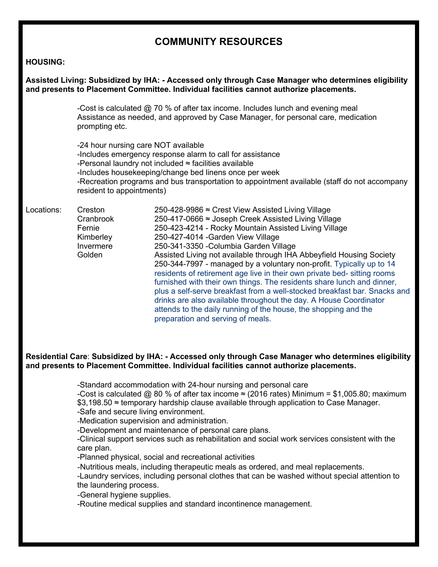### **COMMUNITY RESOURCES**

#### **HOUSING:**

| Assisted Living: Subsidized by IHA: - Accessed only through Case Manager who determines eligibility<br>and presents to Placement Committee. Individual facilities cannot authorize placements. |                                                                    |                                                                                                                                                                                                                                                                                                                                                                                                                                                                                                                                                                                                                                                                                                                                                                                                                  |  |
|------------------------------------------------------------------------------------------------------------------------------------------------------------------------------------------------|--------------------------------------------------------------------|------------------------------------------------------------------------------------------------------------------------------------------------------------------------------------------------------------------------------------------------------------------------------------------------------------------------------------------------------------------------------------------------------------------------------------------------------------------------------------------------------------------------------------------------------------------------------------------------------------------------------------------------------------------------------------------------------------------------------------------------------------------------------------------------------------------|--|
|                                                                                                                                                                                                | prompting etc.                                                     | -Cost is calculated $@$ 70 % of after tax income. Includes lunch and evening meal<br>Assistance as needed, and approved by Case Manager, for personal care, medication                                                                                                                                                                                                                                                                                                                                                                                                                                                                                                                                                                                                                                           |  |
|                                                                                                                                                                                                | -24 hour nursing care NOT available<br>resident to appointments)   | -Includes emergency response alarm to call for assistance<br>-Personal laundry not included $\approx$ facilities available<br>-Includes housekeeping/change bed linens once per week<br>-Recreation programs and bus transportation to appointment available (staff do not accompany                                                                                                                                                                                                                                                                                                                                                                                                                                                                                                                             |  |
| Locations:                                                                                                                                                                                     | Creston<br>Cranbrook<br>Fernie<br>Kimberley<br>Invermere<br>Golden | 250-428-9986 ≈ Crest View Assisted Living Village<br>250-417-0666 ≈ Joseph Creek Assisted Living Village<br>250-423-4214 - Rocky Mountain Assisted Living Village<br>250-427-4014 - Garden View Village<br>250-341-3350 - Columbia Garden Village<br>Assisted Living not available through IHA Abbeyfield Housing Society<br>250-344-7997 - managed by a voluntary non-profit. Typically up to 14<br>residents of retirement age live in their own private bed-sitting rooms<br>furnished with their own things. The residents share lunch and dinner,<br>plus a self-serve breakfast from a well-stocked breakfast bar. Snacks and<br>drinks are also available throughout the day. A House Coordinator<br>attends to the daily running of the house, the shopping and the<br>preparation and serving of meals. |  |

#### **Residential Care**: **Subsidized by IHA: - Accessed only through Case Manager who determines eligibility and presents to Placement Committee. Individual facilities cannot authorize placements.**

-Standard accommodation with 24-hour nursing and personal care

-Cost is calculated @ 80 % of after tax income  $\approx$  (2016 rates) Minimum = \$1,005.80; maximum \$3,198.50 ≈ temporary hardship clause available through application to Case Manager. -Safe and secure living environment.

-Medication supervision and administration.

-Development and maintenance of personal care plans.

-Clinical support services such as rehabilitation and social work services consistent with the care plan.

-Planned physical, social and recreational activities

-Nutritious meals, including therapeutic meals as ordered, and meal replacements.

-Laundry services, including personal clothes that can be washed without special attention to the laundering process.

-General hygiene supplies.

-Routine medical supplies and standard incontinence management.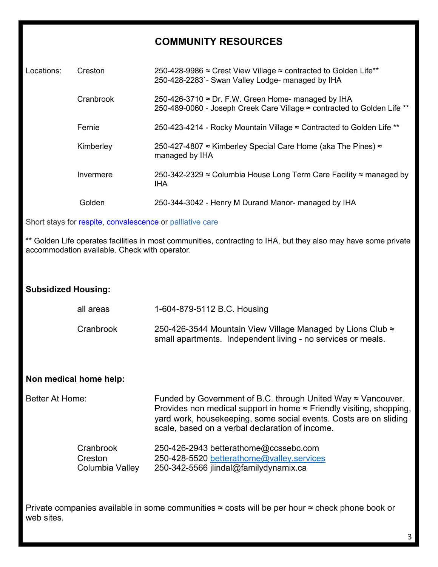### **COMMUNITY RESOURCES**

| Locations:                                                | Creston   | 250-428-9986 ≈ Crest View Village ≈ contracted to Golden Life**<br>250-428-2283 - Swan Valley Lodge- managed by IHA                   |
|-----------------------------------------------------------|-----------|---------------------------------------------------------------------------------------------------------------------------------------|
|                                                           | Cranbrook | 250-426-3710 $\approx$ Dr. F.W. Green Home- managed by IHA<br>250-489-0060 - Joseph Creek Care Village ≈ contracted to Golden Life ** |
|                                                           | Fernie    | 250-423-4214 - Rocky Mountain Village ≈ Contracted to Golden Life **                                                                  |
|                                                           | Kimberley | 250-427-4807 ≈ Kimberley Special Care Home (aka The Pines) ≈<br>managed by IHA                                                        |
|                                                           | Invermere | 250-342-2329 ≈ Columbia House Long Term Care Facility ≈ managed by<br>IHA                                                             |
|                                                           | Golden    | 250-344-3042 - Henry M Durand Manor- managed by IHA                                                                                   |
| Short stays for respite, convalescence or palliative care |           |                                                                                                                                       |
|                                                           |           |                                                                                                                                       |

Golden Life operates facilities in most communities, contracting to IHA, but they also may have some private accommodation available. Check with operator.

### **Subsidized Housing:**

| all areas | 1-604-879-5112 B.C. Housing                                  |
|-----------|--------------------------------------------------------------|
| Cranbrook | 250-426-3544 Mountain View Village Managed by Lions Club ≈   |
|           | small apartments. Independent living - no services or meals. |

#### **Non medical home help:**

Better At Home: Funded by Government of B.C. through United Way ≈ Vancouver. Provides non medical support in home ≈ Friendly visiting, shopping, yard work, housekeeping, some social events. Costs are on sliding scale, based on a verbal declaration of income.

| Cranbrook       | 250-426-2943 betterathome@ccssebc.com     |
|-----------------|-------------------------------------------|
| Creston         | 250-428-5520 betterathome@valley.services |
| Columbia Valley | 250-342-5566 jlindal@familydynamix.ca     |

Private companies available in some communities ≈ costs will be per hour ≈ check phone book or web sites.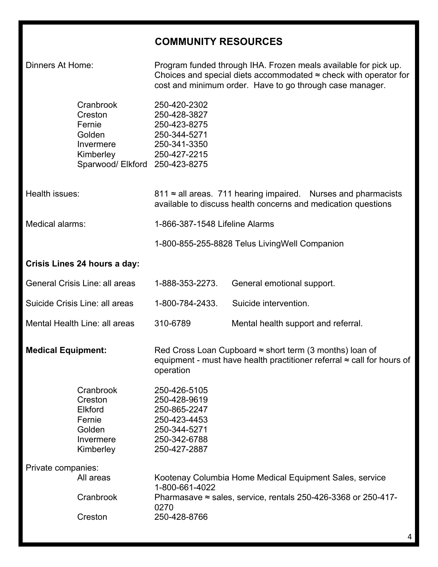## **COMMUNITY RESOURCES**

| Dinners At Home:               |                                                                                                      |                                                                                                              | Program funded through IHA. Frozen meals available for pick up.<br>Choices and special diets accommodated $\approx$ check with operator for<br>cost and minimum order. Have to go through case manager. |  |
|--------------------------------|------------------------------------------------------------------------------------------------------|--------------------------------------------------------------------------------------------------------------|---------------------------------------------------------------------------------------------------------------------------------------------------------------------------------------------------------|--|
|                                | Cranbrook<br>Creston<br>Fernie<br>Golden<br>Invermere<br>Kimberley<br>Sparwood/ Elkford 250-423-8275 | 250-420-2302<br>250-428-3827<br>250-423-8275<br>250-344-5271<br>250-341-3350<br>250-427-2215                 |                                                                                                                                                                                                         |  |
| Health issues:                 |                                                                                                      |                                                                                                              | 811 ≈ all areas. 711 hearing impaired. Nurses and pharmacists<br>available to discuss health concerns and medication questions                                                                          |  |
| Medical alarms:                |                                                                                                      | 1-866-387-1548 Lifeline Alarms                                                                               |                                                                                                                                                                                                         |  |
|                                |                                                                                                      |                                                                                                              | 1-800-855-255-8828 Telus Living Well Companion                                                                                                                                                          |  |
| Crisis Lines 24 hours a day:   |                                                                                                      |                                                                                                              |                                                                                                                                                                                                         |  |
| General Crisis Line: all areas |                                                                                                      | 1-888-353-2273.                                                                                              | General emotional support.                                                                                                                                                                              |  |
|                                | Suicide Crisis Line: all areas                                                                       | 1-800-784-2433.                                                                                              | Suicide intervention.                                                                                                                                                                                   |  |
| Mental Health Line: all areas  |                                                                                                      | 310-6789                                                                                                     | Mental health support and referral.                                                                                                                                                                     |  |
| <b>Medical Equipment:</b>      |                                                                                                      | operation                                                                                                    | Red Cross Loan Cupboard $\approx$ short term (3 months) loan of<br>equipment - must have health practitioner referral $\approx$ call for hours of                                                       |  |
|                                | Cranbrook<br>Creston<br><b>Elkford</b><br>Fernie<br>Golden<br>Invermere<br>Kimberley                 | 250-426-5105<br>250-428-9619<br>250-865-2247<br>250-423-4453<br>250-344-5271<br>250-342-6788<br>250-427-2887 |                                                                                                                                                                                                         |  |
| Private companies:             |                                                                                                      |                                                                                                              |                                                                                                                                                                                                         |  |
|                                | All areas                                                                                            | 1-800-661-4022                                                                                               | Kootenay Columbia Home Medical Equipment Sales, service                                                                                                                                                 |  |
|                                | Cranbrook                                                                                            | 0270                                                                                                         | Pharmasave $\approx$ sales, service, rentals 250-426-3368 or 250-417-                                                                                                                                   |  |
|                                | Creston                                                                                              | 250-428-8766                                                                                                 |                                                                                                                                                                                                         |  |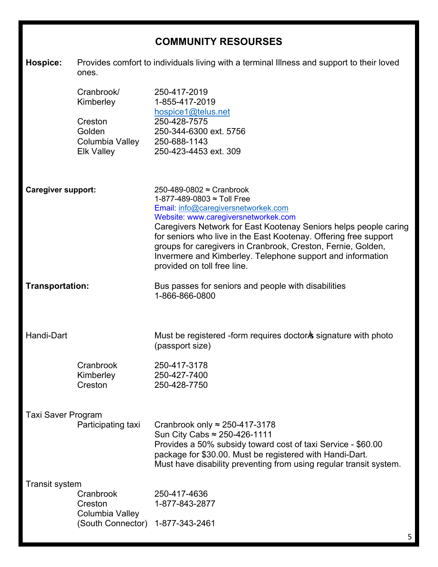### **COMMUNITY RESOURSES**

**Hospice:** Provides comfort to individuals living with a terminal Illness and support to their loved ones.

|                           | Cranbrook/<br>Kimberley<br>Creston<br>Golden<br>Columbia Valley 250-688-1143<br><b>Elk Valley</b> | 250-417-2019<br>1-855-417-2019<br>hospice1@telus.net<br>250-428-7575<br>250-344-6300 ext. 5756<br>250-423-4453 ext. 309                                                                                                                                                                                                                                                                                                                    |  |
|---------------------------|---------------------------------------------------------------------------------------------------|--------------------------------------------------------------------------------------------------------------------------------------------------------------------------------------------------------------------------------------------------------------------------------------------------------------------------------------------------------------------------------------------------------------------------------------------|--|
| <b>Caregiver support:</b> |                                                                                                   | 250-489-0802 ≈ Cranbrook<br>1-877-489-0803 ≈ Toll Free<br>Email: info@caregiversnetworkek.com<br>Website: www.caregiversnetworkek.com<br>Caregivers Network for East Kootenay Seniors helps people caring<br>for seniors who live in the East Kootenay. Offering free support<br>groups for caregivers in Cranbrook, Creston, Fernie, Golden,<br>Invermere and Kimberley. Telephone support and information<br>provided on toll free line. |  |
| Transportation:           |                                                                                                   | Bus passes for seniors and people with disabilities<br>1-866-866-0800                                                                                                                                                                                                                                                                                                                                                                      |  |
| Handi-Dart                |                                                                                                   | Must be registered -form requires doctor is signature with photo<br>(passport size)                                                                                                                                                                                                                                                                                                                                                        |  |
|                           | Cranbrook<br>Kimberley<br>Creston                                                                 | 250-417-3178<br>250-427-7400<br>250-428-7750                                                                                                                                                                                                                                                                                                                                                                                               |  |
| <b>Taxi Saver Program</b> | Participating taxi                                                                                | Cranbrook only $\approx$ 250-417-3178<br>Sun City Cabs ≈ 250-426-1111<br>Provides a 50% subsidy toward cost of taxi Service - \$60.00<br>package for \$30.00. Must be registered with Handi-Dart.<br>Must have disability preventing from using regular transit system.                                                                                                                                                                    |  |
| <b>Transit system</b>     | Cranbrook<br>Creston<br>Columbia Valley                                                           | 250-417-4636<br>1-877-843-2877                                                                                                                                                                                                                                                                                                                                                                                                             |  |
|                           | (South Connector)                                                                                 | 1-877-343-2461                                                                                                                                                                                                                                                                                                                                                                                                                             |  |